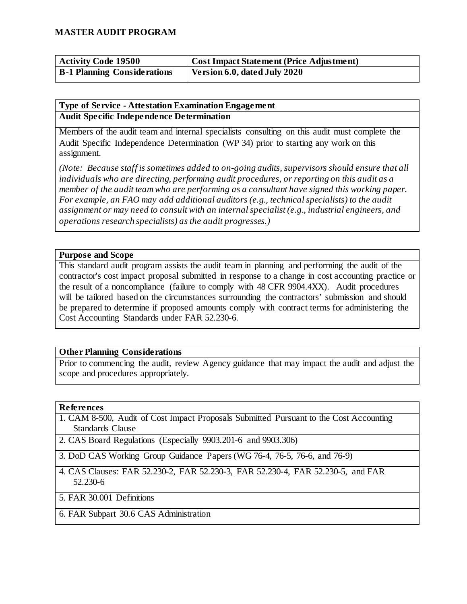| <b>Activity Code 19500</b>         | <b>Cost Impact Statement (Price Adjustment)</b> |
|------------------------------------|-------------------------------------------------|
| <b>B-1 Planning Considerations</b> | Version 6.0, dated July 2020                    |

#### **Type of Service - Attestation Examination Engagement Audit Specific Independence Determination**

Members of the audit team and internal specialists consulting on this audit must complete the Audit Specific Independence Determination (WP 34) prior to starting any work on this assignment.

*(Note: Because staff is sometimes added to on-going audits, supervisors should ensure that all individuals who are directing, performing audit procedures, or reporting on this audit as a member of the audit team who are performing as a consultant have signed this working paper. For example, an FAO may add additional auditors (e.g., technical specialists) to the audit assignment or may need to consult with an internal specialist (e.g., industrial engineers, and operations research specialists) as the audit progresses.)*

#### **Purpose and Scope**

This standard audit program assists the audit team in planning and performing the audit of the contractor's cost impact proposal submitted in response to a change in cost accounting practice or the result of a noncompliance (failure to comply with 48 CFR 9904.4XX). Audit procedures will be tailored based on the circumstances surrounding the contractors' submission and should be prepared to determine if proposed amounts comply with contract terms for administering the Cost Accounting Standards under FAR 52.230-6.

#### **Other Planning Considerations**

Prior to commencing the audit, review Agency guidance that may impact the audit and adjust the scope and procedures appropriately.

#### **References**

- 1. CAM 8-500, Audit of Cost Impact Proposals Submitted Pursuant to the Cost Accounting Standards Clause
- 2. CAS Board Regulations (Especially 9903.201-6 and 9903.306)
- 3. DoD CAS Working Group Guidance Papers (WG 76-4, 76-5, 76-6, and 76-9)
- 4. CAS Clauses: FAR 52.230-2, FAR 52.230-3, FAR 52.230-4, FAR 52.230-5, and FAR 52.230-6
- 5. FAR 30.001 Definitions
- 6. FAR Subpart 30.6 CAS Administration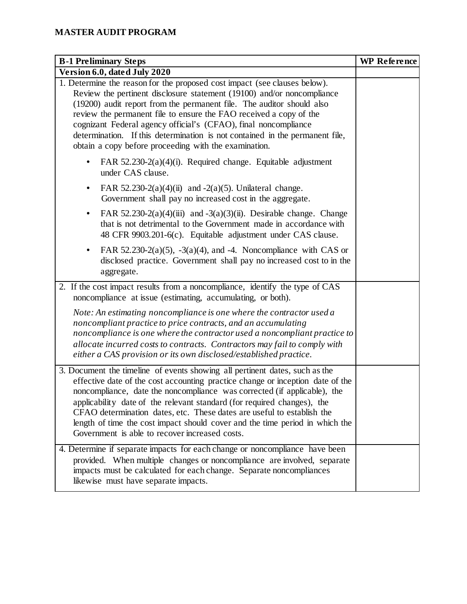| <b>B-1 Preliminary Steps</b>                                                                                                                                                                                                                                                                                                                                                                                                                                                                                                     | <b>WP</b> Reference |
|----------------------------------------------------------------------------------------------------------------------------------------------------------------------------------------------------------------------------------------------------------------------------------------------------------------------------------------------------------------------------------------------------------------------------------------------------------------------------------------------------------------------------------|---------------------|
| Version 6.0, dated July 2020                                                                                                                                                                                                                                                                                                                                                                                                                                                                                                     |                     |
| 1. Determine the reason for the proposed cost impact (see clauses below).<br>Review the pertinent disclosure statement (19100) and/or noncompliance<br>(19200) audit report from the permanent file. The auditor should also<br>review the permanent file to ensure the FAO received a copy of the<br>cognizant Federal agency official's (CFAO), final noncompliance<br>determination. If this determination is not contained in the permanent file,<br>obtain a copy before proceeding with the examination.                   |                     |
| FAR $52.230-2(a)(4)(i)$ . Required change. Equitable adjustment<br>under CAS clause.                                                                                                                                                                                                                                                                                                                                                                                                                                             |                     |
| FAR 52.230-2(a)(4)(ii) and -2(a)(5). Unilateral change.<br>$\bullet$<br>Government shall pay no increased cost in the aggregate.                                                                                                                                                                                                                                                                                                                                                                                                 |                     |
| FAR $52.230-2(a)(4)(iii)$ and $-3(a)(3)(ii)$ . Desirable change. Change<br>٠<br>that is not detrimental to the Government made in accordance with<br>48 CFR 9903.201-6(c). Equitable adjustment under CAS clause.                                                                                                                                                                                                                                                                                                                |                     |
| FAR $52.230-2(a)(5)$ , $-3(a)(4)$ , and $-4$ . Noncompliance with CAS or<br>٠<br>disclosed practice. Government shall pay no increased cost to in the<br>aggregate.                                                                                                                                                                                                                                                                                                                                                              |                     |
| 2. If the cost impact results from a noncompliance, identify the type of CAS<br>noncompliance at issue (estimating, accumulating, or both).                                                                                                                                                                                                                                                                                                                                                                                      |                     |
| Note: An estimating noncompliance is one where the contractor used a<br>noncompliant practice to price contracts, and an accumulating<br>noncompliance is one where the contractor used a noncompliant practice to<br>allocate incurred costs to contracts. Contractors may fail to comply with<br>either a CAS provision or its own disclosed/established practice.                                                                                                                                                             |                     |
| 3. Document the timeline of events showing all pertinent dates, such as the<br>effective date of the cost accounting practice change or inception date of the<br>noncompliance, date the noncompliance was corrected (if applicable), the<br>applicability date of the relevant standard (for required changes), the<br>CFAO determination dates, etc. These dates are useful to establish the<br>length of time the cost impact should cover and the time period in which the<br>Government is able to recover increased costs. |                     |
| 4. Determine if separate impacts for each change or noncompliance have been<br>provided. When multiple changes or noncompliance are involved, separate<br>impacts must be calculated for each change. Separate noncompliances<br>likewise must have separate impacts.                                                                                                                                                                                                                                                            |                     |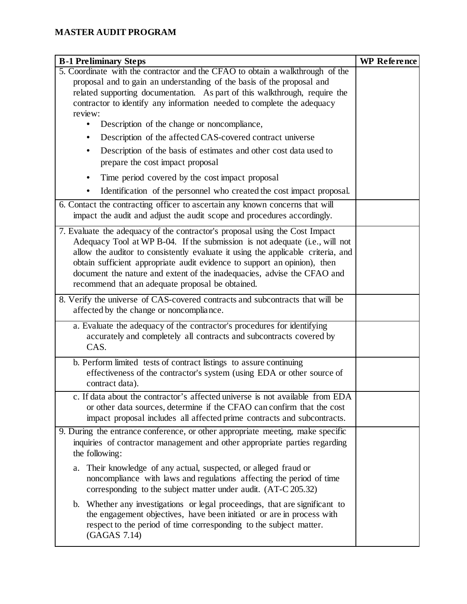| <b>B-1 Preliminary Steps</b>                                                                                                                                        | <b>WP Reference</b> |
|---------------------------------------------------------------------------------------------------------------------------------------------------------------------|---------------------|
| 5. Coordinate with the contractor and the CFAO to obtain a walkthrough of the                                                                                       |                     |
| proposal and to gain an understanding of the basis of the proposal and                                                                                              |                     |
| related supporting documentation. As part of this walkthrough, require the<br>contractor to identify any information needed to complete the adequacy                |                     |
| review:                                                                                                                                                             |                     |
| Description of the change or noncompliance,                                                                                                                         |                     |
| Description of the affected CAS-covered contract universe                                                                                                           |                     |
| Description of the basis of estimates and other cost data used to                                                                                                   |                     |
| prepare the cost impact proposal                                                                                                                                    |                     |
| Time period covered by the cost impact proposal                                                                                                                     |                     |
| Identification of the personnel who created the cost impact proposal.                                                                                               |                     |
| 6. Contact the contracting officer to ascertain any known concerns that will                                                                                        |                     |
| impact the audit and adjust the audit scope and procedures accordingly.                                                                                             |                     |
| 7. Evaluate the adequacy of the contractor's proposal using the Cost Impact                                                                                         |                     |
| Adequacy Tool at WP B-04. If the submission is not adequate (i.e., will not                                                                                         |                     |
| allow the auditor to consistently evaluate it using the applicable criteria, and                                                                                    |                     |
| obtain sufficient appropriate audit evidence to support an opinion), then<br>document the nature and extent of the inadequacies, advise the CFAO and                |                     |
| recommend that an adequate proposal be obtained.                                                                                                                    |                     |
| 8. Verify the universe of CAS-covered contracts and subcontracts that will be                                                                                       |                     |
| affected by the change or noncompliance.                                                                                                                            |                     |
| a. Evaluate the adequacy of the contractor's procedures for identifying                                                                                             |                     |
| accurately and completely all contracts and subcontracts covered by<br>CAS.                                                                                         |                     |
|                                                                                                                                                                     |                     |
| b. Perform limited tests of contract listings to assure continuing                                                                                                  |                     |
| effectiveness of the contractor's system (using EDA or other source of<br>contract data).                                                                           |                     |
| c. If data about the contractor's affected universe is not available from EDA                                                                                       |                     |
| or other data sources, determine if the CFAO can confirm that the cost                                                                                              |                     |
| impact proposal includes all affected prime contracts and subcontracts.                                                                                             |                     |
| 9. During the entrance conference, or other appropriate meeting, make specific                                                                                      |                     |
| inquiries of contractor management and other appropriate parties regarding                                                                                          |                     |
| the following:                                                                                                                                                      |                     |
| Their knowledge of any actual, suspected, or alleged fraud or<br>a.                                                                                                 |                     |
| noncompliance with laws and regulations affecting the period of time                                                                                                |                     |
| corresponding to the subject matter under audit. (AT-C 205.32)                                                                                                      |                     |
| Whether any investigations or legal proceedings, that are significant to<br>$\mathbf{b}$ .<br>the engagement objectives, have been initiated or are in process with |                     |
| respect to the period of time corresponding to the subject matter.                                                                                                  |                     |
| (GAGAS 7.14)                                                                                                                                                        |                     |
|                                                                                                                                                                     |                     |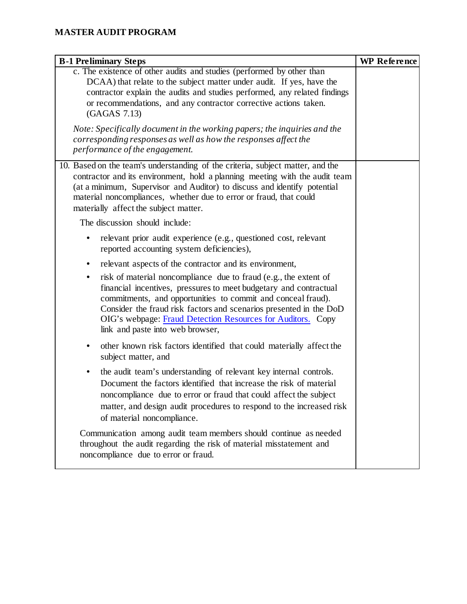| <b>B-1 Preliminary Steps</b>                                                                                                                                                                                                                                                                                                                                                                                                                                | <b>WP Reference</b> |
|-------------------------------------------------------------------------------------------------------------------------------------------------------------------------------------------------------------------------------------------------------------------------------------------------------------------------------------------------------------------------------------------------------------------------------------------------------------|---------------------|
| c. The existence of other audits and studies (performed by other than<br>DCAA) that relate to the subject matter under audit. If yes, have the<br>contractor explain the audits and studies performed, any related findings<br>or recommendations, and any contractor corrective actions taken.<br>(GAGAS 7.13)                                                                                                                                             |                     |
| Note: Specifically document in the working papers; the inquiries and the<br>corresponding responses as well as how the responses affect the<br>performance of the engagement.                                                                                                                                                                                                                                                                               |                     |
| 10. Based on the team's understanding of the criteria, subject matter, and the<br>contractor and its environment, hold a planning meeting with the audit team<br>(at a minimum, Supervisor and Auditor) to discuss and identify potential<br>material noncompliances, whether due to error or fraud, that could<br>materially affect the subject matter.                                                                                                    |                     |
| The discussion should include:                                                                                                                                                                                                                                                                                                                                                                                                                              |                     |
| relevant prior audit experience (e.g., questioned cost, relevant<br>reported accounting system deficiencies),                                                                                                                                                                                                                                                                                                                                               |                     |
| relevant aspects of the contractor and its environment,<br>٠<br>risk of material noncompliance due to fraud (e.g., the extent of<br>$\bullet$<br>financial incentives, pressures to meet budgetary and contractual<br>commitments, and opportunities to commit and conceal fraud).<br>Consider the fraud risk factors and scenarios presented in the DoD<br>OIG's webpage: Fraud Detection Resources for Auditors. Copy<br>link and paste into web browser, |                     |
| other known risk factors identified that could materially affect the<br>٠<br>subject matter, and                                                                                                                                                                                                                                                                                                                                                            |                     |
| the audit team's understanding of relevant key internal controls.<br>$\bullet$<br>Document the factors identified that increase the risk of material<br>noncompliance due to error or fraud that could affect the subject<br>matter, and design audit procedures to respond to the increased risk<br>of material noncompliance.                                                                                                                             |                     |
| Communication among audit team members should continue as needed<br>throughout the audit regarding the risk of material misstatement and<br>noncompliance due to error or fraud.                                                                                                                                                                                                                                                                            |                     |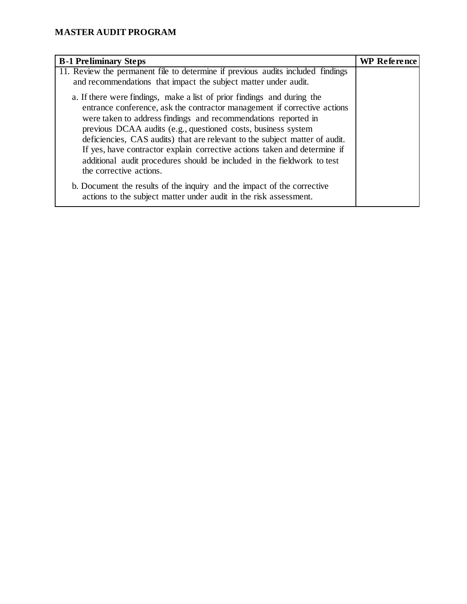| <b>B-1 Preliminary Steps</b>                                                                                                                                                                                                                                                                                                                                                                                                                                                                                                                             | <b>WP</b> Reference |
|----------------------------------------------------------------------------------------------------------------------------------------------------------------------------------------------------------------------------------------------------------------------------------------------------------------------------------------------------------------------------------------------------------------------------------------------------------------------------------------------------------------------------------------------------------|---------------------|
| 11. Review the permanent file to determine if previous audits included findings<br>and recommendations that impact the subject matter under audit.                                                                                                                                                                                                                                                                                                                                                                                                       |                     |
| a. If there were findings, make a list of prior findings and during the<br>entrance conference, ask the contractor management if corrective actions<br>were taken to address findings and recommendations reported in<br>previous DCAA audits (e.g., questioned costs, business system<br>deficiencies, CAS audits) that are relevant to the subject matter of audit.<br>If yes, have contractor explain corrective actions taken and determine if<br>additional audit procedures should be included in the fieldwork to test<br>the corrective actions. |                     |
| b. Document the results of the inquiry and the impact of the corrective<br>actions to the subject matter under audit in the risk assessment.                                                                                                                                                                                                                                                                                                                                                                                                             |                     |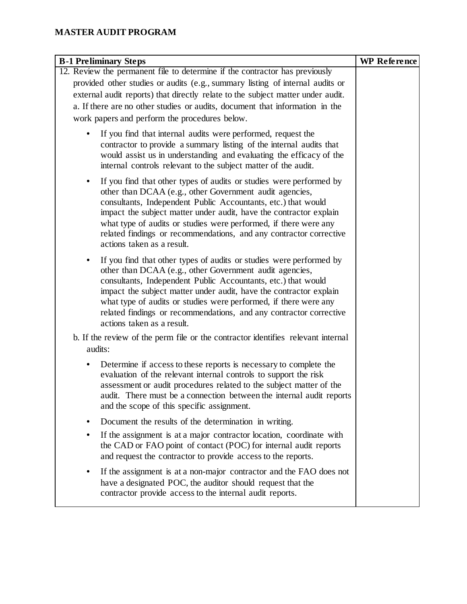| <b>B-1 Preliminary Steps</b>                                                                                                                                                                                                                                                                                                                                                                                                                               | <b>WP</b> Reference |
|------------------------------------------------------------------------------------------------------------------------------------------------------------------------------------------------------------------------------------------------------------------------------------------------------------------------------------------------------------------------------------------------------------------------------------------------------------|---------------------|
| 12. Review the permanent file to determine if the contractor has previously                                                                                                                                                                                                                                                                                                                                                                                |                     |
| provided other studies or audits (e.g., summary listing of internal audits or<br>external audit reports) that directly relate to the subject matter under audit.<br>a. If there are no other studies or audits, document that information in the                                                                                                                                                                                                           |                     |
| work papers and perform the procedures below.                                                                                                                                                                                                                                                                                                                                                                                                              |                     |
| If you find that internal audits were performed, request the<br>contractor to provide a summary listing of the internal audits that<br>would assist us in understanding and evaluating the efficacy of the<br>internal controls relevant to the subject matter of the audit.                                                                                                                                                                               |                     |
| If you find that other types of audits or studies were performed by<br>$\bullet$<br>other than DCAA (e.g., other Government audit agencies,<br>consultants, Independent Public Accountants, etc.) that would<br>impact the subject matter under audit, have the contractor explain<br>what type of audits or studies were performed, if there were any<br>related findings or recommendations, and any contractor corrective<br>actions taken as a result. |                     |
| If you find that other types of audits or studies were performed by<br>other than DCAA (e.g., other Government audit agencies,<br>consultants, Independent Public Accountants, etc.) that would<br>impact the subject matter under audit, have the contractor explain<br>what type of audits or studies were performed, if there were any<br>related findings or recommendations, and any contractor corrective<br>actions taken as a result.              |                     |
| b. If the review of the perm file or the contractor identifies relevant internal                                                                                                                                                                                                                                                                                                                                                                           |                     |
| audits:                                                                                                                                                                                                                                                                                                                                                                                                                                                    |                     |
| Determine if access to these reports is necessary to complete the<br>$\bullet$<br>evaluation of the relevant internal controls to support the risk<br>assessment or audit procedures related to the subject matter of the<br>audit. There must be a connection between the internal audit reports<br>and the scope of this specific assignment.                                                                                                            |                     |
| Document the results of the determination in writing.                                                                                                                                                                                                                                                                                                                                                                                                      |                     |
| If the assignment is at a major contractor location, coordinate with<br>the CAD or FAO point of contact (POC) for internal audit reports<br>and request the contractor to provide access to the reports.                                                                                                                                                                                                                                                   |                     |
| If the assignment is at a non-major contractor and the FAO does not<br>have a designated POC, the auditor should request that the<br>contractor provide access to the internal audit reports.                                                                                                                                                                                                                                                              |                     |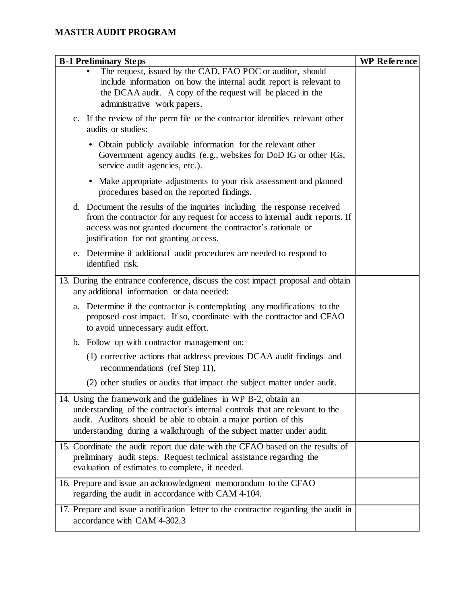| <b>B-1 Preliminary Steps</b>                                                                                                                                                                                                                                                                 | <b>WP</b> Reference |
|----------------------------------------------------------------------------------------------------------------------------------------------------------------------------------------------------------------------------------------------------------------------------------------------|---------------------|
| The request, issued by the CAD, FAO POC or auditor, should<br>include information on how the internal audit report is relevant to<br>the DCAA audit. A copy of the request will be placed in the<br>administrative work papers.                                                              |                     |
| c. If the review of the perm file or the contractor identifies relevant other<br>audits or studies:                                                                                                                                                                                          |                     |
| • Obtain publicly available information for the relevant other<br>Government agency audits (e.g., websites for DoD IG or other IGs,<br>service audit agencies, etc.).                                                                                                                        |                     |
| • Make appropriate adjustments to your risk assessment and planned<br>procedures based on the reported findings.                                                                                                                                                                             |                     |
| d. Document the results of the inquiries including the response received<br>from the contractor for any request for access to internal audit reports. If<br>access was not granted document the contractor's rationale or<br>justification for not granting access.                          |                     |
| e. Determine if additional audit procedures are needed to respond to<br>identified risk.                                                                                                                                                                                                     |                     |
| 13. During the entrance conference, discuss the cost impact proposal and obtain<br>any additional information or data needed:                                                                                                                                                                |                     |
| a. Determine if the contractor is contemplating any modifications to the<br>proposed cost impact. If so, coordinate with the contractor and CFAO<br>to avoid unnecessary audit effort.                                                                                                       |                     |
| Follow up with contractor management on:<br>b.                                                                                                                                                                                                                                               |                     |
| (1) corrective actions that address previous DCAA audit findings and<br>recommendations (ref Step 11),                                                                                                                                                                                       |                     |
| (2) other studies or audits that impact the subject matter under audit.                                                                                                                                                                                                                      |                     |
| 14. Using the framework and the guidelines in WP B-2, obtain an<br>understanding of the contractor's internal controls that are relevant to the<br>audit. Auditors should be able to obtain a major portion of this<br>understanding during a walkthrough of the subject matter under audit. |                     |
| 15. Coordinate the audit report due date with the CFAO based on the results of<br>preliminary audit steps. Request technical assistance regarding the<br>evaluation of estimates to complete, if needed.                                                                                     |                     |
| 16. Prepare and issue an acknowledgment memorandum to the CFAO<br>regarding the audit in accordance with CAM 4-104.                                                                                                                                                                          |                     |
| 17. Prepare and issue a notification letter to the contractor regarding the audit in<br>accordance with CAM 4-302.3                                                                                                                                                                          |                     |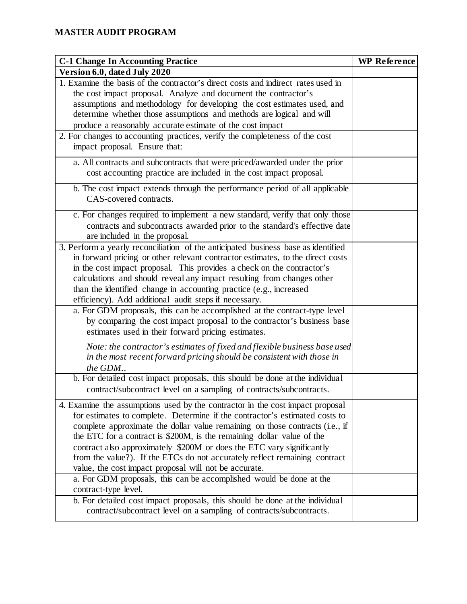| <b>C-1 Change In Accounting Practice</b>                                                                                                                                                                                                                                                                                                                                                                                                                                                                                               | <b>WP</b> Reference |
|----------------------------------------------------------------------------------------------------------------------------------------------------------------------------------------------------------------------------------------------------------------------------------------------------------------------------------------------------------------------------------------------------------------------------------------------------------------------------------------------------------------------------------------|---------------------|
| Version 6.0, dated July 2020                                                                                                                                                                                                                                                                                                                                                                                                                                                                                                           |                     |
| 1. Examine the basis of the contractor's direct costs and indirect rates used in<br>the cost impact proposal. Analyze and document the contractor's<br>assumptions and methodology for developing the cost estimates used, and<br>determine whether those assumptions and methods are logical and will<br>produce a reasonably accurate estimate of the cost impact                                                                                                                                                                    |                     |
| 2. For changes to accounting practices, verify the completeness of the cost<br>impact proposal. Ensure that:                                                                                                                                                                                                                                                                                                                                                                                                                           |                     |
| a. All contracts and subcontracts that were priced/awarded under the prior<br>cost accounting practice are included in the cost impact proposal.                                                                                                                                                                                                                                                                                                                                                                                       |                     |
| b. The cost impact extends through the performance period of all applicable<br>CAS-covered contracts.                                                                                                                                                                                                                                                                                                                                                                                                                                  |                     |
| c. For changes required to implement a new standard, verify that only those<br>contracts and subcontracts awarded prior to the standard's effective date<br>are included in the proposal.                                                                                                                                                                                                                                                                                                                                              |                     |
| 3. Perform a yearly reconciliation of the anticipated business base as identified<br>in forward pricing or other relevant contractor estimates, to the direct costs<br>in the cost impact proposal. This provides a check on the contractor's<br>calculations and should reveal any impact resulting from changes other<br>than the identified change in accounting practice (e.g., increased<br>efficiency). Add additional audit steps if necessary.                                                                                 |                     |
| a. For GDM proposals, this can be accomplished at the contract-type level<br>by comparing the cost impact proposal to the contractor's business base<br>estimates used in their forward pricing estimates.                                                                                                                                                                                                                                                                                                                             |                     |
| Note: the contractor's estimates of fixed and flexible business base used<br>in the most recent forward pricing should be consistent with those in<br>the GDM                                                                                                                                                                                                                                                                                                                                                                          |                     |
| b. For detailed cost impact proposals, this should be done at the individual<br>contract/subcontract level on a sampling of contracts/subcontracts.                                                                                                                                                                                                                                                                                                                                                                                    |                     |
| 4. Examine the assumptions used by the contractor in the cost impact proposal<br>for estimates to complete. Determine if the contractor's estimated costs to<br>complete approximate the dollar value remaining on those contracts (i.e., if<br>the ETC for a contract is \$200M, is the remaining dollar value of the<br>contract also approximately \$200M or does the ETC vary significantly<br>from the value?). If the ETCs do not accurately reflect remaining contract<br>value, the cost impact proposal will not be accurate. |                     |
| a. For GDM proposals, this can be accomplished would be done at the<br>contract-type level.                                                                                                                                                                                                                                                                                                                                                                                                                                            |                     |
| b. For detailed cost impact proposals, this should be done at the individual<br>contract/subcontract level on a sampling of contracts/subcontracts.                                                                                                                                                                                                                                                                                                                                                                                    |                     |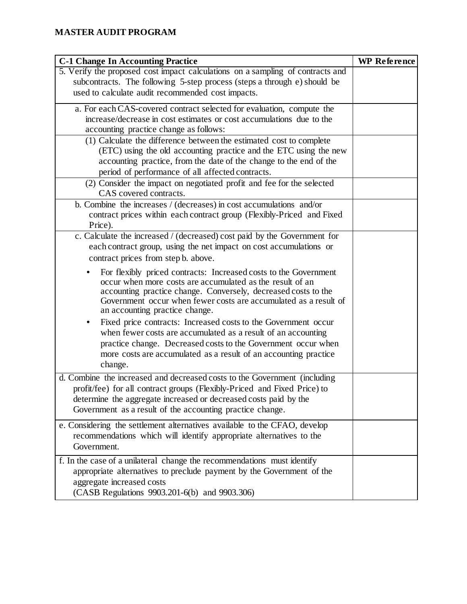| <b>C-1 Change In Accounting Practice</b>                                                                                                                                                                                                                                                                                                                                                                                                                                                                                                                                                                                                                                                                                                                                                                                                                                                                                                        | <b>WP</b> Reference |
|-------------------------------------------------------------------------------------------------------------------------------------------------------------------------------------------------------------------------------------------------------------------------------------------------------------------------------------------------------------------------------------------------------------------------------------------------------------------------------------------------------------------------------------------------------------------------------------------------------------------------------------------------------------------------------------------------------------------------------------------------------------------------------------------------------------------------------------------------------------------------------------------------------------------------------------------------|---------------------|
| 5. Verify the proposed cost impact calculations on a sampling of contracts and<br>subcontracts. The following 5-step process (steps a through e) should be<br>used to calculate audit recommended cost impacts.                                                                                                                                                                                                                                                                                                                                                                                                                                                                                                                                                                                                                                                                                                                                 |                     |
| a. For each CAS-covered contract selected for evaluation, compute the<br>increase/decrease in cost estimates or cost accumulations due to the<br>accounting practice change as follows:<br>(1) Calculate the difference between the estimated cost to complete<br>(ETC) using the old accounting practice and the ETC using the new<br>accounting practice, from the date of the change to the end of the                                                                                                                                                                                                                                                                                                                                                                                                                                                                                                                                       |                     |
| period of performance of all affected contracts.<br>(2) Consider the impact on negotiated profit and fee for the selected                                                                                                                                                                                                                                                                                                                                                                                                                                                                                                                                                                                                                                                                                                                                                                                                                       |                     |
| CAS covered contracts.<br>b. Combine the increases / (decreases) in cost accumulations and/or<br>contract prices within each contract group (Flexibly-Priced and Fixed<br>Price).                                                                                                                                                                                                                                                                                                                                                                                                                                                                                                                                                                                                                                                                                                                                                               |                     |
| c. Calculate the increased / (decreased) cost paid by the Government for<br>each contract group, using the net impact on cost accumulations or<br>contract prices from step b. above.<br>For flexibly priced contracts: Increased costs to the Government<br>occur when more costs are accumulated as the result of an<br>accounting practice change. Conversely, decreased costs to the<br>Government occur when fewer costs are accumulated as a result of<br>an accounting practice change.<br>Fixed price contracts: Increased costs to the Government occur<br>٠<br>when fewer costs are accumulated as a result of an accounting<br>practice change. Decreased costs to the Government occur when<br>more costs are accumulated as a result of an accounting practice<br>change.<br>d. Combine the increased and decreased costs to the Government (including<br>profit/fee) for all contract groups (Flexibly-Priced and Fixed Price) to |                     |
| determine the aggregate increased or decreased costs paid by the<br>Government as a result of the accounting practice change.                                                                                                                                                                                                                                                                                                                                                                                                                                                                                                                                                                                                                                                                                                                                                                                                                   |                     |
| e. Considering the settlement alternatives available to the CFAO, develop<br>recommendations which will identify appropriate alternatives to the<br>Government.                                                                                                                                                                                                                                                                                                                                                                                                                                                                                                                                                                                                                                                                                                                                                                                 |                     |
| f. In the case of a unilateral change the recommendations must identify<br>appropriate alternatives to preclude payment by the Government of the<br>aggregate increased costs<br>(CASB Regulations 9903.201-6(b) and 9903.306)                                                                                                                                                                                                                                                                                                                                                                                                                                                                                                                                                                                                                                                                                                                  |                     |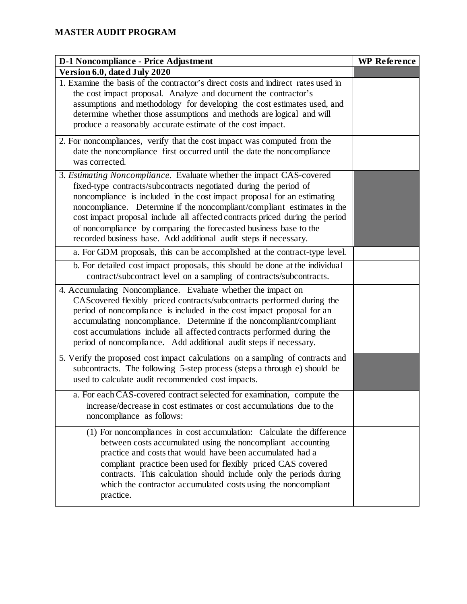| <b>D-1 Noncompliance - Price Adjustment</b>                                                                                                                                                                                                                                                                                                                                                                                                                                                                              | <b>WP</b> Reference |
|--------------------------------------------------------------------------------------------------------------------------------------------------------------------------------------------------------------------------------------------------------------------------------------------------------------------------------------------------------------------------------------------------------------------------------------------------------------------------------------------------------------------------|---------------------|
| Version 6.0, dated July 2020                                                                                                                                                                                                                                                                                                                                                                                                                                                                                             |                     |
| 1. Examine the basis of the contractor's direct costs and indirect rates used in<br>the cost impact proposal. Analyze and document the contractor's<br>assumptions and methodology for developing the cost estimates used, and<br>determine whether those assumptions and methods are logical and will<br>produce a reasonably accurate estimate of the cost impact.                                                                                                                                                     |                     |
| 2. For noncompliances, verify that the cost impact was computed from the<br>date the noncompliance first occurred until the date the noncompliance<br>was corrected.                                                                                                                                                                                                                                                                                                                                                     |                     |
| 3. Estimating Noncompliance. Evaluate whether the impact CAS-covered<br>fixed-type contracts/subcontracts negotiated during the period of<br>noncompliance is included in the cost impact proposal for an estimating<br>noncompliance. Determine if the noncompliant/compliant estimates in the<br>cost impact proposal include all affected contracts priced during the period<br>of noncompliance by comparing the forecasted business base to the<br>recorded business base. Add additional audit steps if necessary. |                     |
| a. For GDM proposals, this can be accomplished at the contract-type level.                                                                                                                                                                                                                                                                                                                                                                                                                                               |                     |
| b. For detailed cost impact proposals, this should be done at the individual<br>contract/subcontract level on a sampling of contracts/subcontracts.                                                                                                                                                                                                                                                                                                                                                                      |                     |
| 4. Accumulating Noncompliance. Evaluate whether the impact on<br>CAScovered flexibly priced contracts/subcontracts performed during the<br>period of noncompliance is included in the cost impact proposal for an<br>accumulating noncompliance. Determine if the noncompliant/compliant<br>cost accumulations include all affected contracts performed during the<br>period of noncompliance. Add additional audit steps if necessary.                                                                                  |                     |
| 5. Verify the proposed cost impact calculations on a sampling of contracts and<br>subcontracts. The following 5-step process (steps a through e) should be<br>used to calculate audit recommended cost impacts.                                                                                                                                                                                                                                                                                                          |                     |
| a. For each CAS-covered contract selected for examination, compute the<br>increase/decrease in cost estimates or cost accumulations due to the<br>noncompliance as follows:                                                                                                                                                                                                                                                                                                                                              |                     |
| (1) For noncompliances in cost accumulation: Calculate the difference<br>between costs accumulated using the noncompliant accounting<br>practice and costs that would have been accumulated had a<br>compliant practice been used for flexibly priced CAS covered<br>contracts. This calculation should include only the periods during<br>which the contractor accumulated costs using the noncompliant<br>practice.                                                                                                    |                     |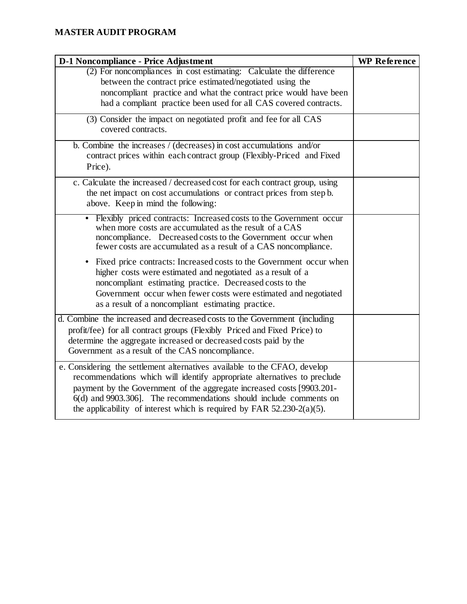| D-1 Noncompliance - Price Adjustment                                                                                                                                                                                                                                                                                                                                             | <b>WP</b> Reference |
|----------------------------------------------------------------------------------------------------------------------------------------------------------------------------------------------------------------------------------------------------------------------------------------------------------------------------------------------------------------------------------|---------------------|
| (2) For noncompliances in cost estimating: Calculate the difference<br>between the contract price estimated/negotiated using the<br>noncompliant practice and what the contract price would have been<br>had a compliant practice been used for all CAS covered contracts.                                                                                                       |                     |
| (3) Consider the impact on negotiated profit and fee for all CAS<br>covered contracts.                                                                                                                                                                                                                                                                                           |                     |
| b. Combine the increases / (decreases) in cost accumulations and/or<br>contract prices within each contract group (Flexibly-Priced and Fixed<br>Price).                                                                                                                                                                                                                          |                     |
| c. Calculate the increased / decreased cost for each contract group, using<br>the net impact on cost accumulations or contract prices from step b.<br>above. Keep in mind the following:                                                                                                                                                                                         |                     |
| • Flexibly priced contracts: Increased costs to the Government occur<br>when more costs are accumulated as the result of a CAS<br>noncompliance. Decreased costs to the Government occur when<br>fewer costs are accumulated as a result of a CAS noncompliance.                                                                                                                 |                     |
| Fixed price contracts: Increased costs to the Government occur when<br>higher costs were estimated and negotiated as a result of a<br>noncompliant estimating practice. Decreased costs to the<br>Government occur when fewer costs were estimated and negotiated<br>as a result of a noncompliant estimating practice.                                                          |                     |
| d. Combine the increased and decreased costs to the Government (including<br>profit/fee) for all contract groups (Flexibly Priced and Fixed Price) to<br>determine the aggregate increased or decreased costs paid by the<br>Government as a result of the CAS noncompliance.                                                                                                    |                     |
| e. Considering the settlement alternatives available to the CFAO, develop<br>recommendations which will identify appropriate alternatives to preclude<br>payment by the Government of the aggregate increased costs [9903.201-<br>6(d) and 9903.306. The recommendations should include comments on<br>the applicability of interest which is required by FAR $52.230-2(a)(5)$ . |                     |